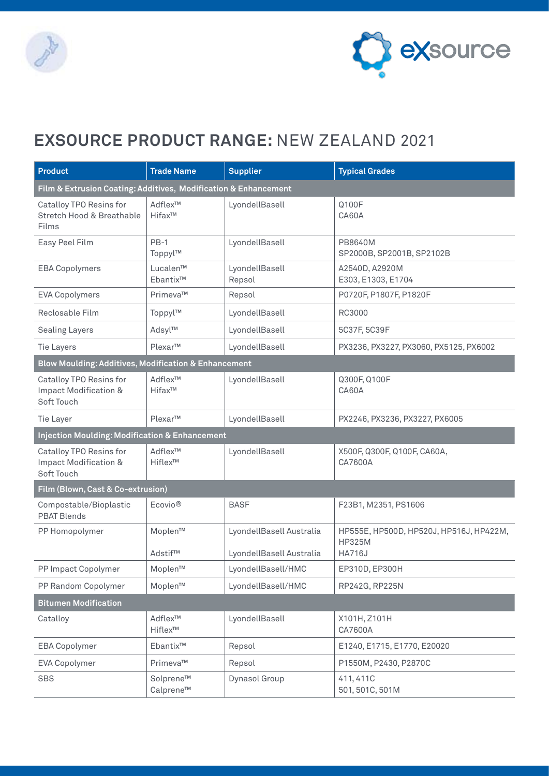



## **EXSOURCE PRODUCT RANGE:** NEW ZEALAND 2021

| <b>Product</b>                                                  | <b>Trade Name</b>                | <b>Supplier</b>                                      | <b>Typical Grades</b>                                              |  |  |  |
|-----------------------------------------------------------------|----------------------------------|------------------------------------------------------|--------------------------------------------------------------------|--|--|--|
| Film & Extrusion Coating: Additives, Modification & Enhancement |                                  |                                                      |                                                                    |  |  |  |
| Catalloy TPO Resins for<br>Stretch Hood & Breathable<br>Films   | Adflex™<br>Hifax™                | LyondellBasell                                       | Q100F<br>CA60A                                                     |  |  |  |
| Easy Peel Film                                                  | $PB-1$<br>Toppyl™                | LyondellBasell                                       | PB8640M<br>SP2000B, SP2001B, SP2102B                               |  |  |  |
| <b>EBA Copolymers</b>                                           | Lucalen™<br>Ebantix™             | LyondellBasell<br>Repsol                             | A2540D, A2920M<br>E303, E1303, E1704                               |  |  |  |
| <b>EVA Copolymers</b>                                           | Primeva™                         | Repsol                                               | P0720F, P1807F, P1820F                                             |  |  |  |
| Reclosable Film                                                 | Toppyl™                          | LyondellBasell                                       | RC3000                                                             |  |  |  |
| <b>Sealing Layers</b>                                           | Adsyl™                           | LyondellBasell                                       | 5C37F, 5C39F                                                       |  |  |  |
| <b>Tie Layers</b>                                               | Plexar™                          | LyondellBasell                                       | PX3236, PX3227, PX3060, PX5125, PX6002                             |  |  |  |
| Blow Moulding: Additives, Modification & Enhancement            |                                  |                                                      |                                                                    |  |  |  |
| Catalloy TPO Resins for<br>Impact Modification &<br>Soft Touch  | Adflex™<br>$H$ ifax <sup>™</sup> | LyondellBasell                                       | Q300F, Q100F<br>CA60A                                              |  |  |  |
| Tie Layer                                                       | Plexar™                          | LyondellBasell                                       | PX2246, PX3236, PX3227, PX6005                                     |  |  |  |
| <b>Injection Moulding: Modification &amp; Enhancement</b>       |                                  |                                                      |                                                                    |  |  |  |
| Catalloy TPO Resins for<br>Impact Modification &<br>Soft Touch  | Adflex <sup>™</sup><br>Hiflex™   | LyondellBasell                                       | X500F, Q300F, Q100F, CA60A,<br>CA7600A                             |  |  |  |
| Film (Blown, Cast & Co-extrusion)                               |                                  |                                                      |                                                                    |  |  |  |
| Compostable/Bioplastic<br><b>PBAT Blends</b>                    | Ecovio <sup>®</sup>              | <b>BASF</b>                                          | F23B1, M2351, PS1606                                               |  |  |  |
| PP Homopolymer                                                  | Moplen™<br>Adstif™               | LyondellBasell Australia<br>LyondellBasell Australia | HP555E, HP500D, HP520J, HP516J, HP422M,<br>HP325M<br><b>HA716J</b> |  |  |  |
| PP Impact Copolymer                                             | Moplen™                          | LyondellBasell/HMC                                   | EP310D, EP300H                                                     |  |  |  |
| PP Random Copolymer                                             | Moplen™                          | LyondellBasell/HMC                                   | RP242G, RP225N                                                     |  |  |  |
| <b>Bitumen Modification</b>                                     |                                  |                                                      |                                                                    |  |  |  |
| Catalloy                                                        | Adflex™<br>Hiflex™               | LyondellBasell                                       | X101H, Z101H<br>CA7600A                                            |  |  |  |
| <b>EBA Copolymer</b>                                            | Ebantix™                         | Repsol                                               | E1240, E1715, E1770, E20020                                        |  |  |  |
| <b>EVA Copolymer</b>                                            | Primeva™                         | Repsol                                               | P1550M, P2430, P2870C                                              |  |  |  |
| <b>SBS</b>                                                      | Solprene™<br>Calprene™           | Dynasol Group                                        | 411, 411C<br>501, 501C, 501M                                       |  |  |  |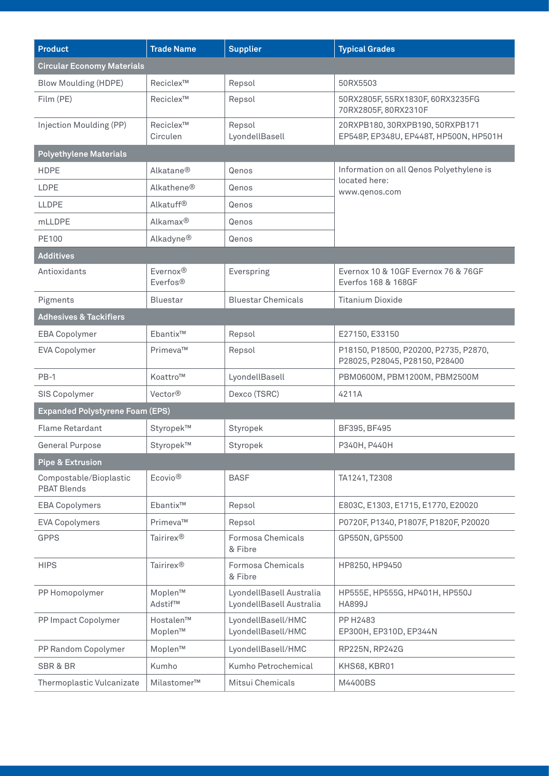| <b>Product</b>                               | <b>Trade Name</b>                 | <b>Supplier</b>                                      | <b>Typical Grades</b>                                                      |  |  |  |
|----------------------------------------------|-----------------------------------|------------------------------------------------------|----------------------------------------------------------------------------|--|--|--|
| <b>Circular Economy Materials</b>            |                                   |                                                      |                                                                            |  |  |  |
| <b>Blow Moulding (HDPE)</b>                  | Reciclex™                         | Repsol                                               | 50RX5503                                                                   |  |  |  |
| Film (PE)                                    | Reciclex <sup>™</sup>             | Repsol                                               | 50RX2805F, 55RX1830F, 60RX3235FG<br>70RX2805F, 80RX2310F                   |  |  |  |
| Injection Moulding (PP)                      | Reciclex <sup>™</sup><br>Circulen | Repsol<br>LyondellBasell                             | 20RXPB180, 30RXPB190, 50RXPB171<br>EP548P, EP348U, EP448T, HP500N, HP501H  |  |  |  |
| <b>Polyethylene Materials</b>                |                                   |                                                      |                                                                            |  |  |  |
| <b>HDPE</b>                                  | Alkatane <sup>®</sup>             | Qenos                                                | Information on all Qenos Polyethylene is<br>located here:<br>www.qenos.com |  |  |  |
| LDPE                                         | Alkathene®                        | Qenos                                                |                                                                            |  |  |  |
| <b>LLDPE</b>                                 | Alkatuff <sup>®</sup>             | Qenos                                                |                                                                            |  |  |  |
| mLLDPE                                       | Alkamax <sup>®</sup>              | Qenos                                                |                                                                            |  |  |  |
| PE100                                        | Alkadyne®                         | Qenos                                                |                                                                            |  |  |  |
| <b>Additives</b>                             |                                   |                                                      |                                                                            |  |  |  |
| Antioxidants                                 | Evernox®<br>Everfos <sup>®</sup>  | Everspring                                           | Evernox 10 & 10GF Evernox 76 & 76GF<br>Everfos 168 & 168GF                 |  |  |  |
| Pigments                                     | <b>Bluestar</b>                   | <b>Bluestar Chemicals</b>                            | <b>Titanium Dioxide</b>                                                    |  |  |  |
| <b>Adhesives &amp; Tackifiers</b>            |                                   |                                                      |                                                                            |  |  |  |
| <b>EBA Copolymer</b>                         | Ebantix™                          | Repsol                                               | E27150, E33150                                                             |  |  |  |
| <b>EVA Copolymer</b>                         | Primeva™                          | Repsol                                               | P18150, P18500, P20200, P2735, P2870,<br>P28025, P28045, P28150, P28400    |  |  |  |
| $PB-1$                                       | Koattro™                          | LyondellBasell                                       | PBM0600M, PBM1200M, PBM2500M                                               |  |  |  |
| SIS Copolymer                                | Vector <sup>®</sup>               | Dexco (TSRC)                                         | 4211A                                                                      |  |  |  |
| <b>Expanded Polystyrene Foam (EPS)</b>       |                                   |                                                      |                                                                            |  |  |  |
| <b>Flame Retardant</b>                       | Styropek™                         | Styropek                                             | BF395, BF495                                                               |  |  |  |
| <b>General Purpose</b>                       | Styropek™                         | Styropek                                             | P340H, P440H                                                               |  |  |  |
| <b>Pipe &amp; Extrusion</b>                  |                                   |                                                      |                                                                            |  |  |  |
| Compostable/Bioplastic<br><b>PBAT Blends</b> | Ecovio <sup>®</sup>               | <b>BASF</b>                                          | TA1241, T2308                                                              |  |  |  |
| <b>EBA Copolymers</b>                        | Ebantix™                          | Repsol                                               | E803C, E1303, E1715, E1770, E20020                                         |  |  |  |
| <b>EVA Copolymers</b>                        | Primeva™                          | Repsol                                               | P0720F, P1340, P1807F, P1820F, P20020                                      |  |  |  |
| <b>GPPS</b>                                  | Tairirex <sup>®</sup>             | Formosa Chemicals<br>& Fibre                         | GP550N, GP5500                                                             |  |  |  |
| <b>HIPS</b>                                  | Tairirex <sup>®</sup>             | Formosa Chemicals<br>& Fibre                         | HP8250, HP9450                                                             |  |  |  |
| PP Homopolymer                               | Moplen™<br>Adstif™                | LyondellBasell Australia<br>LyondellBasell Australia | HP555E, HP555G, HP401H, HP550J<br><b>HA899J</b>                            |  |  |  |
| PP Impact Copolymer                          | Hostalen™<br>Moplen™              | LyondellBasell/HMC<br>LyondellBasell/HMC             | PP H2483<br>EP300H, EP310D, EP344N                                         |  |  |  |
| PP Random Copolymer                          | Moplen™                           | LyondellBasell/HMC                                   | RP225N, RP242G                                                             |  |  |  |
| SBR & BR                                     | Kumho                             | Kumho Petrochemical                                  | KHS68, KBR01                                                               |  |  |  |
| Thermoplastic Vulcanizate                    | Milastomer™                       | Mitsui Chemicals                                     | M4400BS                                                                    |  |  |  |